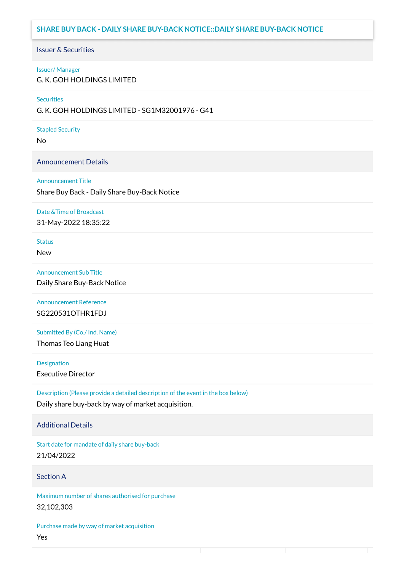# **SHARE BUY BACK - DAILY SHARE BUY-BACK NOTICE::DAILY SHARE BUY-BACK NOTICE**

#### Issuer & Securities

#### Issuer/ Manager

G. K. GOH HOLDINGS LIMITED

#### **Securities**

G. K. GOH HOLDINGS LIMITED - SG1M32001976 - G41

#### Stapled Security

No

### Announcement Details

#### Announcement Title

Share Buy Back - Daily Share Buy-Back Notice

#### Date &Time of Broadcast

31-May-2022 18:35:22

# Status

New

### Announcement Sub Title

Daily Share Buy-Back Notice

### Announcement Reference SG220531OTHR1FDJ

Submitted By (Co./ Ind. Name)

Thomas Teo Liang Huat

**Designation** Executive Director

Description (Please provide a detailed description of the event in the box below) Daily share buy-back by way of market acquisition.

#### Additional Details

Start date for mandate of daily share buy-back 21/04/2022

### Section A

Maximum number of shares authorised for purchase 32,102,303

Purchase made by way of market acquisition Yes